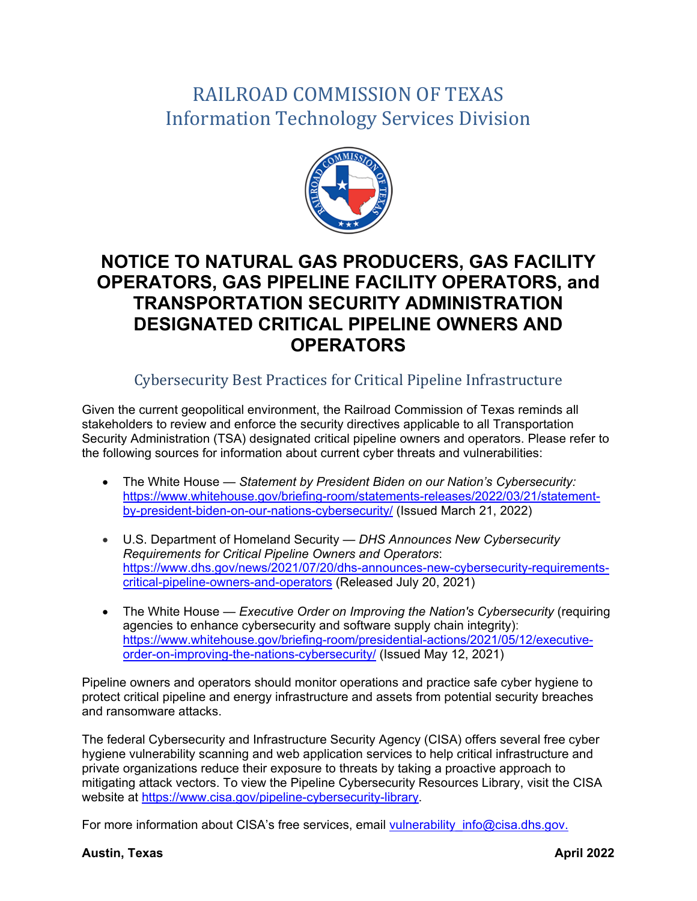## RAILROAD COMMISSION OF TEXAS Information Technology Services Division



## **NOTICE TO NATURAL GAS PRODUCERS, GAS FACILITY OPERATORS, GAS PIPELINE FACILITY OPERATORS, and TRANSPORTATION SECURITY ADMINISTRATION DESIGNATED CRITICAL PIPELINE OWNERS AND OPERATORS**

## Cybersecurity Best Practices for Critical Pipeline Infrastructure

Given the current geopolitical environment, the Railroad Commission of Texas reminds all stakeholders to review and enforce the security directives applicable to all Transportation Security Administration (TSA) designated critical pipeline owners and operators. Please refer to the following sources for information about current cyber threats and vulnerabilities:

- The White House *Statement by President Biden on our Nation's Cybersecurity:* [https://www.whitehouse.gov/briefing-room/statements-releases/2022/03/21/statement](https://www.whitehouse.gov/briefing-room/statements-releases/2022/03/21/statement-by-president-biden-on-our-nations-cybersecurity/)[by-president-biden-on-our-nations-cybersecurity/](https://www.whitehouse.gov/briefing-room/statements-releases/2022/03/21/statement-by-president-biden-on-our-nations-cybersecurity/) (Issued March 21, 2022)
- U.S. Department of Homeland Security *DHS Announces New Cybersecurity Requirements for Critical Pipeline Owners and Operators*: [https://www.dhs.gov/news/2021/07/20/dhs-announces-new-cybersecurity-requirements](https://www.dhs.gov/news/2021/07/20/dhs-announces-new-cybersecurity-requirements-critical-pipeline-owners-and-operators)[critical-pipeline-owners-and-operators](https://www.dhs.gov/news/2021/07/20/dhs-announces-new-cybersecurity-requirements-critical-pipeline-owners-and-operators) (Released July 20, 2021)
- The White House *Executive Order on Improving the Nation's Cybersecurity* (requiring agencies to enhance cybersecurity and software supply chain integrity): [https://www.whitehouse.gov/briefing-room/presidential-actions/2021/05/12/executive](https://www.whitehouse.gov/briefing-room/presidential-actions/2021/05/12/executive-order-on-improving-the-nations-cybersecurity/)[order-on-improving-the-nations-cybersecurity/](https://www.whitehouse.gov/briefing-room/presidential-actions/2021/05/12/executive-order-on-improving-the-nations-cybersecurity/) (Issued May 12, 2021)

Pipeline owners and operators should monitor operations and practice safe cyber hygiene to protect critical pipeline and energy infrastructure and assets from potential security breaches and ransomware attacks.

The federal Cybersecurity and Infrastructure Security Agency (CISA) offers several free cyber hygiene vulnerability scanning and web application services to help critical infrastructure and private organizations reduce their exposure to threats by taking a proactive approach to mitigating attack vectors. To view the Pipeline Cybersecurity Resources Library, visit the CISA website at [https://www.cisa.gov/pipeline-cybersecurity-library.](https://www.cisa.gov/pipeline-cybersecurity-library)

For more information about CISA's free services, email vulnerability info@cisa.dhs.gov.

## **Austin, Texas April 2022**